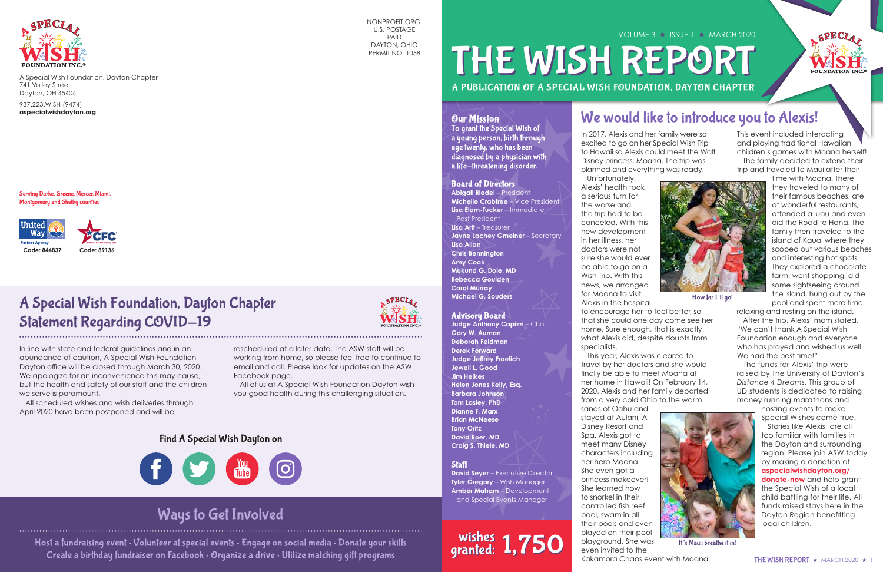

A Special Wish Foundation, Dayton Chapter 741 Valley Street Dayton, OH 45404

937.223.WISH (9474) **aspecialwishdayton.org**

# A PUBLICATION OF A SPECIAL WISH FOUNDATION, DAYTON CHAPTER VOLUME 3 ★ ISSUE 1 ★ MARCH 2020 THE WISH REPORT

#### **Our Mission**

Serving Darke, Greene, Mercer, Miami, Montgomery and Shelby counties



In 2017, Alexis and her family were so excited to go on her Special Wish Trip to Hawaii so Alexis could meet the Walt Disney princess, Moana. The trip was planned and everything was ready.

 This year, Alexis was cleared to travel by her doctors and she would finally be able to meet Moana at her home in Hawaii! On February 14, 2020, Alexis and her family departed from a very cold Ohio to the warm sands of Oahu and stayed at Aulani, A Disney Resort and Spa. Alexis got to meet many Disney characters including her hero Moana. She even got a princess makeover! She learned how to snorkel in their controlled fish reef pool, swam in all their pools and even played on their pool playground. She was even invited to the Kakamora Chaos event with Moana.



This event included interacting and playing traditional Hawaiian children's games with Moana herself! The family decided to extend their trip and traveled to Maui after their



 Unfortunately, Alexis' health took a serious turn for the worse and the trip had to be canceled. With this new development in her illness, her doctors were not sure she would ever be able to go on a Wish Trip. With this news, we arranged for Moana to visit Alexis in the hospital to encourage her to feel better, so that she could one day come see her home. Sure enough, that is exactly what Alexis did, despite doubts from specialists. time with Moana. There they traveled to many of their famous beaches, ate at wonderful restaurants, attended a luau and even did the Road to Hana. The family then traveled to the island of Kauai where they scoped out various beaches and interesting hot spots. They explored a chocolate farm, went shopping, did some sightseeing around the island, hung out by the pool and spent more time relaxing and resting on the island. After the trip, Alexis' mom stated, "We can't thank A Special Wish Foundation enough and everyone who has prayed and wished us well. We had the best time!" How far I'll go!

**Judge Anthony Capizzi - Chair Gary W. Auman Deborah Feldman Derek Forward Judge Jeffrey Froelich Jewell L. Good Jim Heikes Helen Jones Kelly, Esq. Barbara Johnson Tom Lasley, PhD Dianne F. Marx Brian McNeese Tony Oritz David Roer, MD Craig S. Thiele, MD**

#### **Staff**

**David Seyer** – Executive Director **Tyler Gregory - Wish Manager Amber Maham** – Development and Special Events Manager

# wishes 1,750

 The funds for Alexis' trip were raised by The University of Dayton's *Distance 4 Dreams*. This group of UD students is dedicated to raising money running marathons and

hosting events to make Special Wishes come true.

 Stories like Alexis' are all too familiar with families in the Dayton and surrounding region. Please join ASW today by making a donation at **aspecialwishdayton.org/ donate-now** and help grant the Special Wish of a local child battling for their life. All funds raised stays here in the Dayton Region benefitting local children.



It's Maui: breathe it in!

## We would like to introduce you to Alexis!

NONPROFIT ORG. U.S. POSTAGE PAID DAYTON, OHIO PERMIT NO. 1058

# A Special Wish Foundation, Dayton Chapter Statement Regarding COVID-19

In line with state and federal guidelines and in an abundance of caution, A Special Wish Foundation Dayton office will be closed through March 30, 2020. We apologize for an inconvenience this may cause, but the health and safety of our staff and the children we serve is paramount.

 All scheduled wishes and wish deliveries through April 2020 have been postponed and will be

SPECIA,

rescheduled at a later date. The ASW staff will be working from home, so please feel free to continue to email and call. Please look for updates on the ASW Facebook page.

 All of us at A Special Wish Foundation Dayton wish you good health during this challenging situation.

## Find A Special Wish Dayton on



#### Board of Directors

**Abigail Riedel** – President **Michelle Crabtree** – Vice President **Lisa Elam-Tucker** – Immediate Past President **Lisa Arlt** – Treasurer **Jayne Lachey Gmeiner** - Secretary **Lisa Allan Chris Bennington Amy Cook Mukund G. Dole, MD Rebecca Goulden Carol Murray Michael G. Souders**

#### Advisory Board

To grant the Special Wish of a young person, birth through age twenty, who has been diagnosed by a physician with a life-threatening disorder.

Host a fundraising event • Volunteer at special events • Engage on social media • Donate your skills Create a birthday fundraiser on Facebook • Organize a drive • Utilize matching gift programs

## Ways to Get Involved